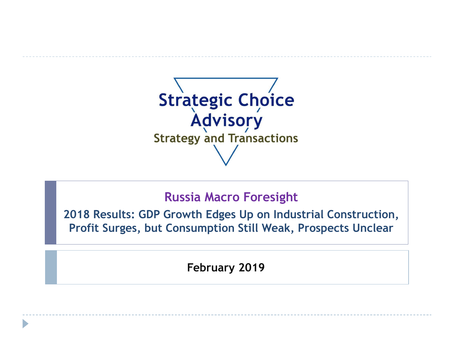

## **Russia Macro Foresight**

**2018 Results: GDP Growth Edges Up on Industrial Construction, Profit Surges, but Consumption Still Weak, Prospects Unclear**

**February 2019**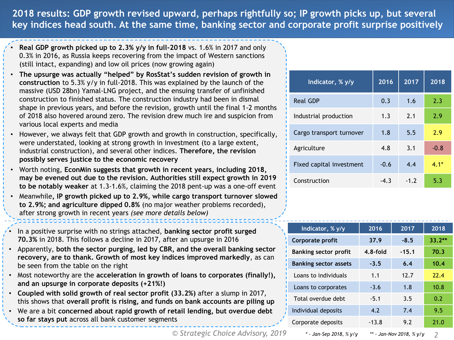**2018 results: GDP growth revised upward, perhaps rightfully so; IP growth picks up, but several key indices head south. At the same time, banking sector and corporate profit surprise positively**

- **Real GDP growth picked up to 2.3% y/y in full-2018** vs. 1.6% in 2017 and only 0.3% in 2016, as Russia keeps recovering from the impact of Western sanctions (still intact, expanding) and low oil prices (now growing again)
- **The upsurge was actually "helped" by RosStat's sudden revision of growth in construction** to 5.3% y/y in full-2018. This was explained by the launch of the massive (USD 28bn) Yamal-LNG project, and the ensuing transfer of unfinished construction to finished status. The construction industry had been in dismal shape in previous years, and before the revision, growth until the final 1-2 months of 2018 also hovered around zero. The revision drew much ire and suspicion from various local experts and media
- However, we always felt that GDP growth and growth in construction, specifically, were understated, looking at strong growth in investment (to a large extent, industrial construction), and several other indices. **Therefore, the revision possibly serves justice to the economic recovery**
- Worth noting, **EconMin suggests that growth in recent years, including 2018, may be evened out due to the revision. Authorities still expect growth in 2019 to be notably weaker** at 1.3-1.6%, claiming the 2018 pent-up was a one-off event
- Meanwhile**, IP growth picked up to 2.9%, while cargo transport turnover slowed to 2.9%; and agriculture dipped 0.8%** (no major weather problems recorded), after strong growth in recent years *(see more details below)*
- In a positive surprise with no strings attached, **banking sector profit surged 70.3%** in 2018. This follows a decline in 2017, after an upsurge in 2016
- Apparently, **both the sector purging, led by CBR, and the overall banking sector recovery, are to thank. Growth of most key indices improved markedly**, as can be seen from the table on the right
- Most noteworthy are the **acceleration in growth of loans to corporates (finally!), and an upsurge in corporate deposits (+21%!)**
- **Coupled with solid growth of real sector profit (33.2%)** after a slump in 2017, this shows that **overall profit is rising, and funds on bank accounts are piling up**
- We are a bit **concerned about rapid growth of retail lending, but overdue debt so far stays put** across all bank customer segments

*© Strategic Choice Advisory, 2019 2*

| Indicator, % y/y         | 2016   | 2017   | 2018   |
|--------------------------|--------|--------|--------|
| <b>Real GDP</b>          | 0.3    | 1.6    | 2.3    |
| Industrial production    | 1.3    | 2.1    | 2.9    |
| Cargo transport turnover | 1.8    | 5.5    | 2.9    |
| Agriculture              | 4.8    | 3.1    | $-0.8$ |
| Fixed capital investment | $-0.6$ | 4.4    | $4.1*$ |
| Construction             | $-4.3$ | $-1.2$ | 5.3    |

| Indicator, % y/y             | 2016                          | 2017    | 2018     |  |
|------------------------------|-------------------------------|---------|----------|--|
| Corporate profit             | 37.9                          | $-8.5$  | $33.2**$ |  |
| <b>Banking sector profit</b> | $4.8$ -fold                   | $-15.1$ | 70.3     |  |
| <b>Banking sector assets</b> | $-3.5$                        | 6.4     | 10.4     |  |
| Loans to individuals         | 1.1                           | 12.7    | 22.4     |  |
| Loans to corporates          | $-3.6$                        | 1.8     | 10.8     |  |
| Total overdue debt           | $-5.1$                        | 3.5     | 0.2      |  |
| Individual deposits          | 4.2                           | 7.4     | 9.5      |  |
| Corporate deposits           | $-13.8$                       | 9.2     | 21.0     |  |
| * - Jan-Sep 2018, % y/y      | ** - Jan-Nov 2018, % v/v<br>2 |         |          |  |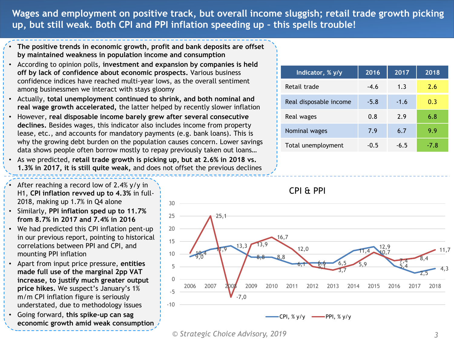**Wages and employment on positive track, but overall income sluggish; retail trade growth picking up, but still weak. Both CPI and PPI inflation speeding up – this spells trouble!**

- **The positive trends in economic growth, profit and bank deposits are offset by maintained weakness in population income and consumption**
- According to opinion polls, **investment and expansion by companies is held off by lack of confidence about economic prospects.** Various business confidence indices have reached multi-year lows, as the overall sentiment among businessmen we interact with stays gloomy
- Actually, **total unemployment continued to shrink, and both nominal and real wage growth accelerated,** the latter helped by recently slower inflation
- However, **real disposable income barely grew after several consecutive declines.** Besides wages, this indicator also includes income from property lease, etc., and accounts for mandatory payments (e.g. bank loans). This is why the growing debt burden on the population causes concern. Lower savings data shows people often borrow mostly to repay previously taken out loans…
- As we predicted, **retail trade growth is picking up, but at 2.6% in 2018 vs. 1.3% in 2017, it is still quite weak,** and does not offset the previous declines
- After reaching a record low of 2.4%  $y/y$  in H1, **CPI inflation revved up to 4.3%** in full-
- 2018, making up 1.7% in Q4 alone • Similarly, **PPI inflation sped up to 11.7% from 8.7% in 2017 and 7.4% in 2016**
- We had predicted this CPI inflation pent-up in our previous report, pointing to historical correlations between PPI and CPI, and mounting PPI inflation
- Apart from input price pressure, **entities made full use of the marginal 2pp VAT increase, to justify much greater output price hikes.** We suspect's January's 1% m/m CPI inflation figure is seriously understated, due to methodology issues
- Going forward, **this spike-up can sag economic growth amid weak consumption**

| Indicator, % y/y       | 2016   | 2017   | 2018 |
|------------------------|--------|--------|------|
| Retail trade           | $-4.6$ | 1.3    | 2.6  |
| Real disposable income | $-5.8$ | $-1.6$ | 0.3  |
| Real wages             | 0.8    | 2.9    | 6.8  |
| Nominal wages          | 7.9    | 6.7    | 9.9  |
| Total unemployment     | $-0.5$ | $-6.5$ | -7.8 |



*<sup>©</sup> Strategic Choice Advisory, 2019 3*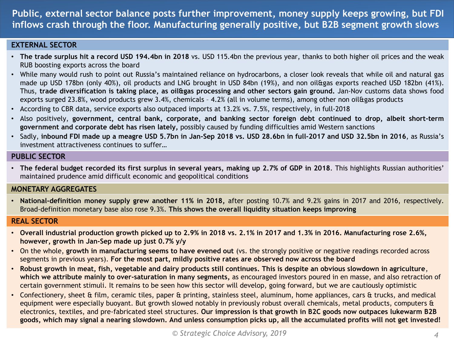**Public, external sector balance posts further improvement, money supply keeps growing, but FDI inflows crash through the floor. Manufacturing generally positive, but B2B segment growth slows**

### **EXTERNAL SECTOR**

- **The trade surplus hit a record USD 194.4bn in 2018** vs. USD 115.4bn the previous year, thanks to both higher oil prices and the weak RUB boosting exports across the board
- While many would rush to point out Russia's maintained reliance on hydrocarbons, a closer look reveals that while oil and natural gas made up USD 178bn (only 40%), oil products and LNG brought in USD 84bn (19%), and non oil&gas exports reached USD 182bn (41%). Thus, **trade diversification is taking place, as oil&gas processing and other sectors gain ground.** Jan-Nov customs data shows food exports surged 23.8%, wood products grew 3.4%, chemicals - 4.2% (all in volume terms), among other non oil&gas products
- According to CBR data, service exports also outpaced imports at 13.2% vs. 7.5%, respectively, in full-2018
- Also positively, **government, central bank, corporate, and banking sector foreign debt continued to drop, albeit short-term government and corporate debt has risen lately,** possibly caused by funding difficulties amid Western sanctions
- Sadly, inbound FDI made up a meagre USD 5,7bn in Jan-Sep 2018 vs. USD 28.6bn in full-2017 and USD 32.5bn in 2016, as Russia's investment attractiveness continues to suffer…

#### **PUBLIC SECTOR**

• The federal budget recorded its first surplus in several years, making up 2.7% of GDP in 2018. This highlights Russian authorities' maintained prudence amid difficult economic and geopolitical conditions

#### **MONETARY AGGREGATES**

• **National-definition money supply grew another 11% in 2018,** after posting 10.7% and 9.2% gains in 2017 and 2016, respectively. Broad-definition monetary base also rose 9.3%. **This shows the overall liquidity situation keeps improving**

#### **REAL SECTOR**

- **Overall industrial production growth picked up to 2.9% in 2018 vs. 2.1% in 2017 and 1.3% in 2016. Manufacturing rose 2.6%, however, growth in Jan-Sep made up just 0.7% y/y**
- On the whole, **growth in manufacturing seems to have evened out** (vs. the strongly positive or negative readings recorded across segments in previous years). **For the most part, mildly positive rates are observed now across the board**
- **Robust growth in meat, fish, vegetable and dairy products still continues. This is despite an obvious slowdown in agriculture**, **which we attribute mainly to over-saturation in many segments,** as encouraged investors poured in en masse, and also retraction of certain government stimuli. It remains to be seen how this sector will develop, going forward, but we are cautiously optimistic
- Confectionery, sheet & film, ceramic tiles, paper & printing, stainless steel, aluminum, home appliances, cars & trucks, and medical equipment were especially buoyant. But growth slowed notably in previously robust overall chemicals, metal products, computers & electronics, textiles, and pre-fabricated steel structures. **Our impression is that growth in B2C goods now outpaces lukewarm B2B goods, which may signal a nearing slowdown. And unless consumption picks up, all the accumulated profits will not get invested!**